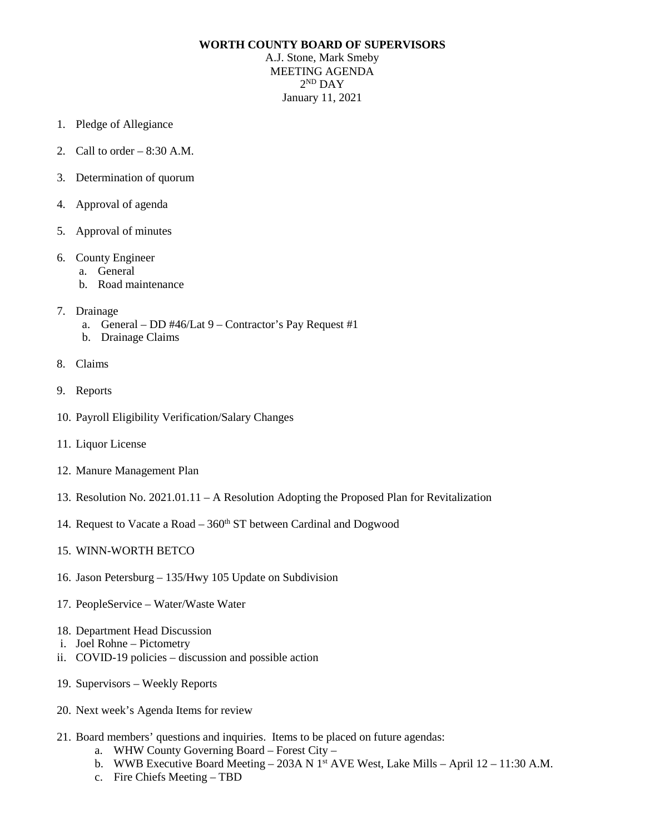## **WORTH COUNTY BOARD OF SUPERVISORS**

A.J. Stone, Mark Smeby MEETING AGENDA  $2^{ND}$  DAY January 11, 2021

- 1. Pledge of Allegiance
- 2. Call to order 8:30 A.M.
- 3. Determination of quorum
- 4. Approval of agenda
- 5. Approval of minutes
- 6. County Engineer
	- a. General
	- b. Road maintenance
- 7. Drainage
	- a. General DD #46/Lat 9 Contractor's Pay Request #1
	- b. Drainage Claims
- 8. Claims
- 9. Reports
- 10. Payroll Eligibility Verification/Salary Changes
- 11. Liquor License
- 12. Manure Management Plan
- 13. Resolution No. 2021.01.11 A Resolution Adopting the Proposed Plan for Revitalization
- 14. Request to Vacate a Road  $-360<sup>th</sup>$  ST between Cardinal and Dogwood

## 15. WINN-WORTH BETCO

- 16. Jason Petersburg 135/Hwy 105 Update on Subdivision
- 17. PeopleService Water/Waste Water
- 18. Department Head Discussion
- i. Joel Rohne Pictometry
- ii. COVID-19 policies discussion and possible action
- 19. Supervisors Weekly Reports
- 20. Next week's Agenda Items for review
- 21. Board members' questions and inquiries. Items to be placed on future agendas:
	- a. WHW County Governing Board Forest City –
	- b. WWB Executive Board Meeting 203A N 1<sup>st</sup> AVE West, Lake Mills April 12 11:30 A.M.
	- c. Fire Chiefs Meeting TBD